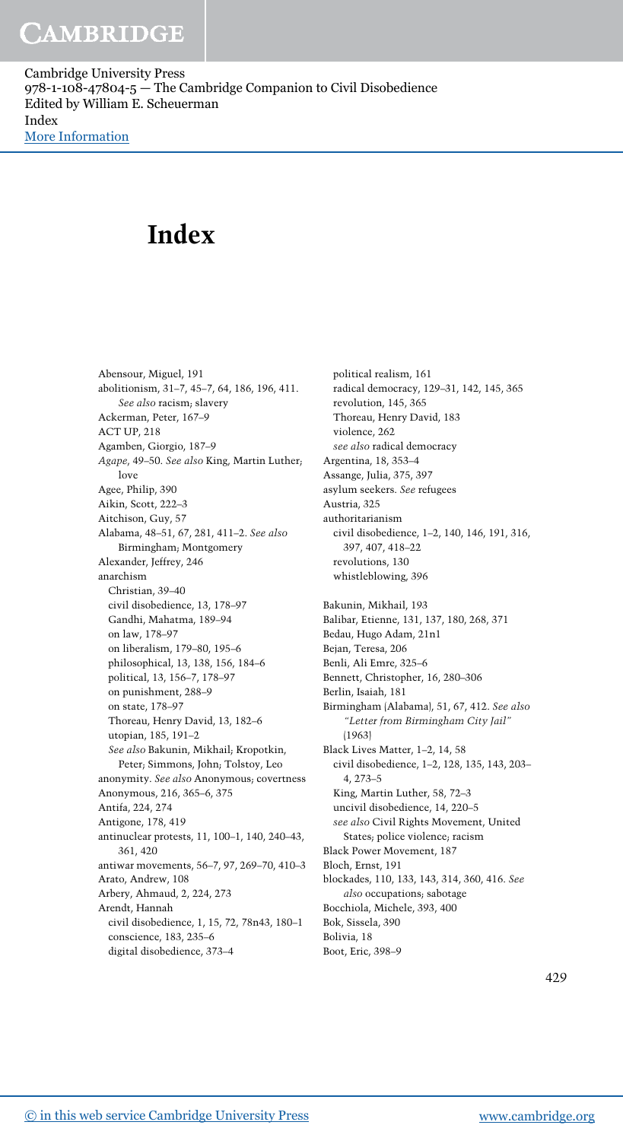Cambridge University Press 978-1-108-47804-5 — The Cambridge Companion to Civil Disobedience Edited by William E. Scheuerman Index [More Information](www.cambridge.org/9781108478045)

# Index

Abensour, Miguel, 191 abolitionism, 31–7, 45–7, 64, 186, 196, 411. See also racism; slavery Ackerman, Peter, 167–9 ACT UP, 218 Agamben, Giorgio, 187–9 Agape, 49–50. See also King, Martin Luther; love Agee, Philip, 390 Aikin, Scott, 222–3 Aitchison, Guy, 57 Alabama, 48–51, 67, 281, 411–2. See also Birmingham; Montgomery Alexander, Jeffrey, 246 anarchism Christian, 39–40 civil disobedience, 13, 178–97 Gandhi, Mahatma, 189–94 on law, 178–97 on liberalism, 179–80, 195–6 philosophical, 13, 138, 156, 184–6 political, 13, 156–7, 178–97 on punishment, 288–9 on state, 178–97 Thoreau, Henry David, 13, 182–6 utopian, 185, 191–2 See also Bakunin, Mikhail; Kropotkin, Peter; Simmons, John; Tolstoy, Leo anonymity. See also Anonymous; covertness Anonymous, 216, 365–6, 375 Antifa, 224, 274 Antigone, 178, 419 antinuclear protests, 11, 100–1, 140, 240–43, 361, 420 antiwar movements, 56–7, 97, 269–70, 410–3 Arato, Andrew, 108 Arbery, Ahmaud, 2, 224, 273 Arendt, Hannah civil disobedience, 1, 15, 72, 78n43, 180–1 conscience, 183, 235–6 digital disobedience, 373–4

political realism, 161 radical democracy, 129–31, 142, 145, 365 revolution, 145, 365 Thoreau, Henry David, 183 violence, 262 see also radical democracy Argentina, 18, 353–4 Assange, Julia, 375, 397 asylum seekers. See refugees Austria, 325 authoritarianism civil disobedience, 1–2, 140, 146, 191, 316, 397, 407, 418–22 revolutions, 130 whistleblowing, 396 Bakunin, Mikhail, 193 Balibar, Etienne, 131, 137, 180, 268, 371 Bedau, Hugo Adam, 21n1 Bejan, Teresa, 206 Benli, Ali Emre, 325–6 Bennett, Christopher, 16, 280–306 Berlin, Isaiah, 181 Birmingham (Alabama), 51, 67, 412. See also "Letter from Birmingham City Jail" (1963) Black Lives Matter, 1–2, 14, 58 civil disobedience, 1–2, 128, 135, 143, 203– 4, 273–5 King, Martin Luther, 58, 72–3 uncivil disobedience, 14, 220–5 see also Civil Rights Movement, United States; police violence; racism Black Power Movement, 187 Bloch, Ernst, 191 blockades, 110, 133, 143, 314, 360, 416. See also occupations; sabotage Bocchiola, Michele, 393, 400 Bok, Sissela, 390 Bolivia, 18 Boot, Eric, 398–9

429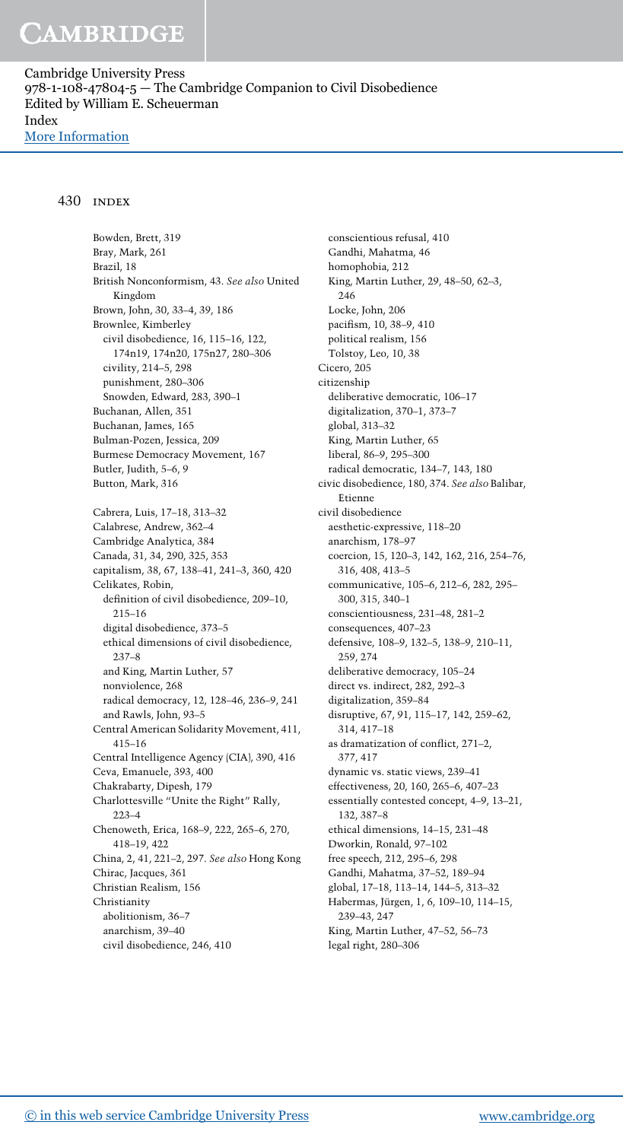Cambridge University Press 978-1-108-47804-5 — The Cambridge Companion to Civil Disobedience Edited by William E. Scheuerman Index [More Information](www.cambridge.org/9781108478045)

#### 430 index

Bowden, Brett, 319 Bray, Mark, 261 Brazil, 18 British Nonconformism, 43. See also United Kingdom Brown, John, 30, 33–4, 39, 186 Brownlee, Kimberley civil disobedience, 16, 115–16, 122, 174n19, 174n20, 175n27, 280–306 civility, 214–5, 298 punishment, 280–306 Snowden, Edward, 283, 390–1 Buchanan, Allen, 351 Buchanan, James, 165 Bulman-Pozen, Jessica, 209 Burmese Democracy Movement, 167 Butler, Judith, 5–6, 9 Button, Mark, 316 Cabrera, Luis, 17–18, 313–32 Calabrese, Andrew, 362–4 Cambridge Analytica, 384 Canada, 31, 34, 290, 325, 353 capitalism, 38, 67, 138–41, 241–3, 360, 420 Celikates, Robin, definition of civil disobedience, 209–10, 215–16 digital disobedience, 373–5 ethical dimensions of civil disobedience, 237–8 and King, Martin Luther, 57 nonviolence, 268 radical democracy, 12, 128–46, 236–9, 241 and Rawls, John, 93–5 Central American Solidarity Movement, 411, 415–16 Central Intelligence Agency (CIA), 390, 416 Ceva, Emanuele, 393, 400 Chakrabarty, Dipesh, 179 Charlottesville "Unite the Right" Rally, 223–4 Chenoweth, Erica, 168–9, 222, 265–6, 270, 418–19, 422 China, 2, 41, 221–2, 297. See also Hong Kong Chirac, Jacques, 361 Christian Realism, 156 Christianity abolitionism, 36–7 anarchism, 39–40 civil disobedience, 246, 410

conscientious refusal, 410 Gandhi, Mahatma, 46 homophobia, 212 King, Martin Luther, 29, 48–50, 62–3, 246 Locke, John, 206 pacifism, 10, 38–9, 410 political realism, 156 Tolstoy, Leo, 10, 38 Cicero, 205 citizenship deliberative democratic, 106–17 digitalization, 370–1, 373–7 global, 313–32 King, Martin Luther, 65 liberal, 86–9, 295–300 radical democratic, 134–7, 143, 180 civic disobedience, 180, 374. See also Balibar, Etienne civil disobedience aesthetic-expressive, 118–20 anarchism, 178–97 coercion, 15, 120–3, 142, 162, 216, 254–76, 316, 408, 413–5 communicative, 105–6, 212–6, 282, 295– 300, 315, 340–1 conscientiousness, 231–48, 281–2 consequences, 407–23 defensive, 108–9, 132–5, 138–9, 210–11, 259, 274 deliberative democracy, 105–24 direct vs. indirect, 282, 292–3 digitalization, 359–84 disruptive, 67, 91, 115–17, 142, 259–62, 314, 417–18 as dramatization of conflict, 271–2, 377, 417 dynamic vs. static views, 239–41 effectiveness, 20, 160, 265–6, 407–23 essentially contested concept, 4–9, 13–21, 132, 387–8 ethical dimensions, 14–15, 231–48 Dworkin, Ronald, 97–102 free speech, 212, 295–6, 298 Gandhi, Mahatma, 37–52, 189–94 global, 17–18, 113–14, 144–5, 313–32 Habermas, Jürgen, 1, 6, 109–10, 114–15, 239–43, 247 King, Martin Luther, 47–52, 56–73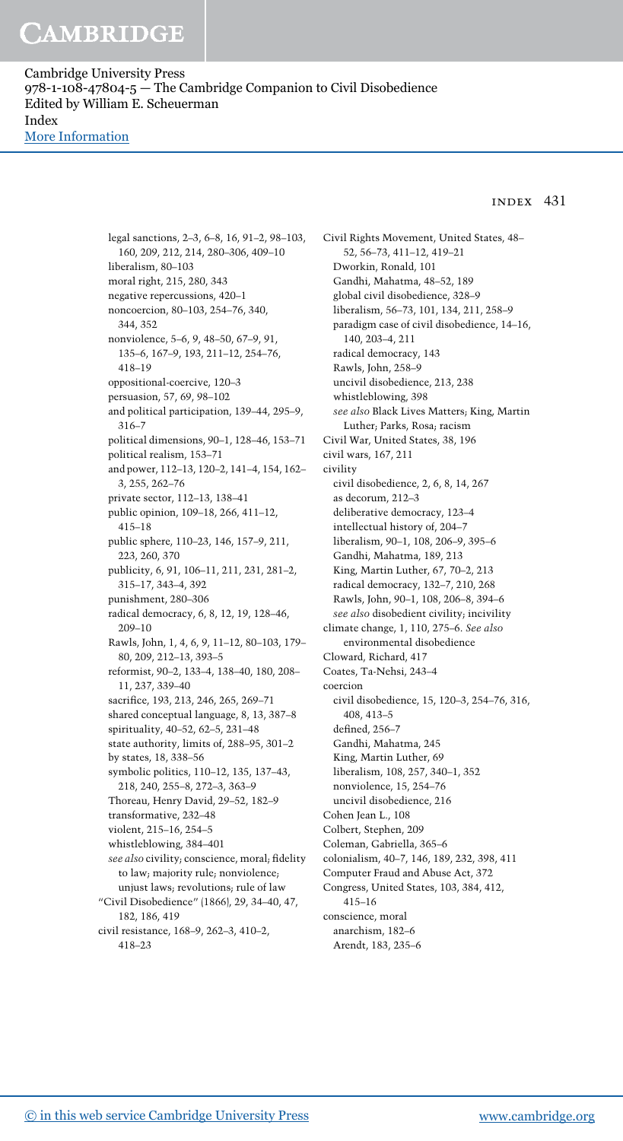Cambridge University Press 978-1-108-47804-5 — The Cambridge Companion to Civil Disobedience Edited by William E. Scheuerman Index [More Information](www.cambridge.org/9781108478045)

### index 431

legal sanctions, 2–3, 6–8, 16, 91–2, 98–103, 160, 209, 212, 214, 280–306, 409–10 liberalism, 80–103 moral right, 215, 280, 343 negative repercussions, 420–1 noncoercion, 80–103, 254–76, 340, 344, 352 nonviolence, 5–6, 9, 48–50, 67–9, 91, 135–6, 167–9, 193, 211–12, 254–76, 418–19 oppositional-coercive, 120–3 persuasion, 57, 69, 98–102 and political participation, 139–44, 295–9, 316–7 political dimensions, 90–1, 128–46, 153–71 political realism, 153–71 and power, 112–13, 120–2, 141–4, 154, 162– 3, 255, 262–76 private sector, 112–13, 138–41 public opinion, 109–18, 266, 411–12, 415–18 public sphere, 110–23, 146, 157–9, 211, 223, 260, 370 publicity, 6, 91, 106–11, 211, 231, 281–2, 315–17, 343–4, 392 punishment, 280–306 radical democracy, 6, 8, 12, 19, 128–46, 209–10 Rawls, John, 1, 4, 6, 9, 11–12, 80–103, 179– 80, 209, 212–13, 393–5 reformist, 90–2, 133–4, 138–40, 180, 208– 11, 237, 339–40 sacrifice, 193, 213, 246, 265, 269–71 shared conceptual language, 8, 13, 387–8 spirituality, 40–52, 62–5, 231–48 state authority, limits of, 288–95, 301–2 by states, 18, 338–56 symbolic politics, 110–12, 135, 137–43, 218, 240, 255–8, 272–3, 363–9 Thoreau, Henry David, 29–52, 182–9 transformative, 232–48 violent, 215–16, 254–5 whistleblowing, 384–401 see also civility; conscience, moral; fidelity to law; majority rule; nonviolence; unjust laws; revolutions; rule of law "Civil Disobedience" (1866), 29, 34–40, 47, 182, 186, 419 civil resistance, 168–9, 262–3, 410–2, 418–23

Civil Rights Movement, United States, 48– 52, 56–73, 411–12, 419–21 Dworkin, Ronald, 101 Gandhi, Mahatma, 48–52, 189 global civil disobedience, 328–9 liberalism, 56–73, 101, 134, 211, 258–9 paradigm case of civil disobedience, 14–16, 140, 203–4, 211 radical democracy, 143 Rawls, John, 258–9 uncivil disobedience, 213, 238 whistleblowing, 398 see also Black Lives Matters; King, Martin Luther; Parks, Rosa; racism Civil War, United States, 38, 196 civil wars, 167, 211 civility civil disobedience, 2, 6, 8, 14, 267 as decorum, 212–3 deliberative democracy, 123–4 intellectual history of, 204–7 liberalism, 90–1, 108, 206–9, 395–6 Gandhi, Mahatma, 189, 213 King, Martin Luther, 67, 70–2, 213 radical democracy, 132–7, 210, 268 Rawls, John, 90–1, 108, 206–8, 394–6 see also disobedient civility; incivility climate change, 1, 110, 275–6. See also environmental disobedience Cloward, Richard, 417 Coates, Ta-Nehsi, 243–4 coercion civil disobedience, 15, 120–3, 254–76, 316, 408, 413–5 defined, 256–7 Gandhi, Mahatma, 245 King, Martin Luther, 69 liberalism, 108, 257, 340–1, 352 nonviolence, 15, 254–76 uncivil disobedience, 216 Cohen Jean L., 108 Colbert, Stephen, 209 Coleman, Gabriella, 365–6 colonialism, 40–7, 146, 189, 232, 398, 411 Computer Fraud and Abuse Act, 372 Congress, United States, 103, 384, 412, 415–16 conscience, moral anarchism, 182–6 Arendt, 183, 235–6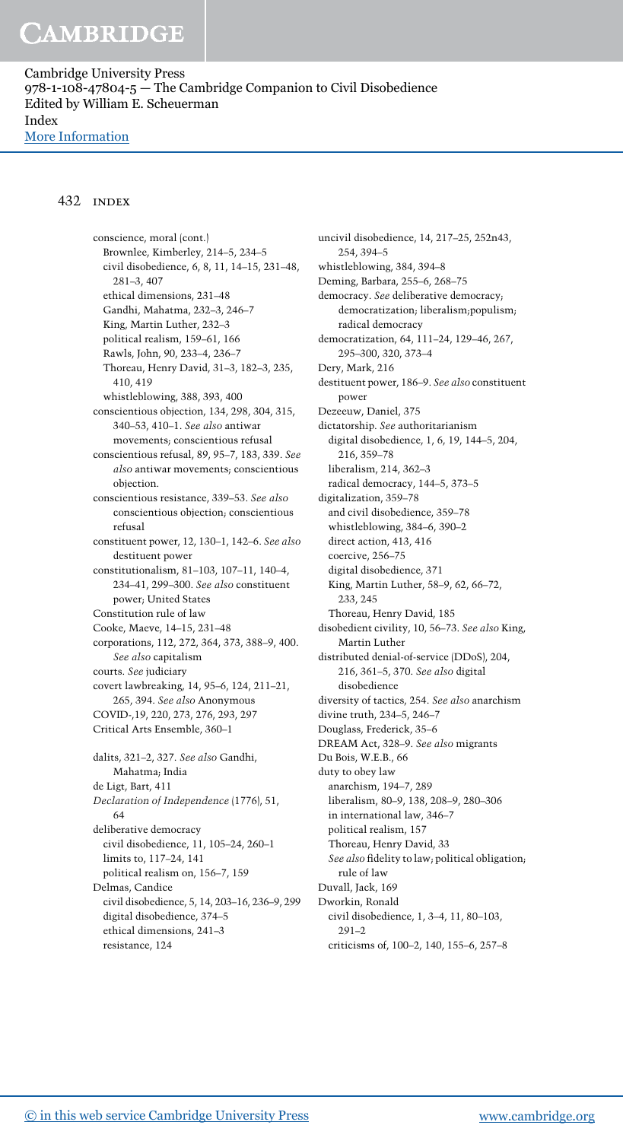Cambridge University Press 978-1-108-47804-5 — The Cambridge Companion to Civil Disobedience Edited by William E. Scheuerman Index [More Information](www.cambridge.org/9781108478045)

#### 432 index

conscience, moral (cont.) Brownlee, Kimberley, 214–5, 234–5 civil disobedience, 6, 8, 11, 14–15, 231–48, 281–3, 407 ethical dimensions, 231–48 Gandhi, Mahatma, 232–3, 246–7 King, Martin Luther, 232–3 political realism, 159–61, 166 Rawls, John, 90, 233–4, 236–7 Thoreau, Henry David, 31–3, 182–3, 235, 410, 419 whistleblowing, 388, 393, 400 conscientious objection, 134, 298, 304, 315, 340–53, 410–1. See also antiwar movements; conscientious refusal conscientious refusal, 89, 95–7, 183, 339. See also antiwar movements; conscientious objection. conscientious resistance, 339–53. See also conscientious objection; conscientious refusal constituent power, 12, 130–1, 142–6. See also destituent power constitutionalism, 81–103, 107–11, 140–4, 234–41, 299–300. See also constituent power; United States Constitution rule of law Cooke, Maeve, 14–15, 231–48 corporations, 112, 272, 364, 373, 388–9, 400. See also capitalism courts. See judiciary covert lawbreaking, 14, 95–6, 124, 211–21, 265, 394. See also Anonymous COVID-,19, 220, 273, 276, 293, 297 Critical Arts Ensemble, 360–1 dalits, 321–2, 327. See also Gandhi, Mahatma; India de Ligt, Bart, 411 Declaration of Independence (1776), 51, 64 deliberative democracy civil disobedience, 11, 105–24, 260–1 limits to, 117–24, 141 political realism on, 156–7, 159 Delmas, Candice civil disobedience, 5, 14, 203–16, 236–9, 299 digital disobedience, 374–5 ethical dimensions, 241–3 resistance, 124

uncivil disobedience, 14, 217–25, 252n43, 254, 394–5 whistleblowing, 384, 394–8 Deming, Barbara, 255–6, 268–75 democracy. See deliberative democracy; democratization; liberalism;populism; radical democracy democratization, 64, 111–24, 129–46, 267, 295–300, 320, 373–4 Dery, Mark, 216 destituent power, 186–9. See also constituent power Dezeeuw, Daniel, 375 dictatorship. See authoritarianism digital disobedience, 1, 6, 19, 144–5, 204, 216, 359–78 liberalism, 214, 362–3 radical democracy, 144–5, 373–5 digitalization, 359–78 and civil disobedience, 359–78 whistleblowing, 384–6, 390–2 direct action, 413, 416 coercive, 256–75 digital disobedience, 371 King, Martin Luther, 58–9, 62, 66–72, 233, 245 Thoreau, Henry David, 185 disobedient civility, 10, 56–73. See also King, Martin Luther distributed denial-of-service (DDoS), 204, 216, 361–5, 370. See also digital disobedience diversity of tactics, 254. See also anarchism divine truth, 234–5, 246–7 Douglass, Frederick, 35–6 DREAM Act, 328–9. See also migrants Du Bois, W.E.B., 66 duty to obey law anarchism, 194–7, 289 liberalism, 80–9, 138, 208–9, 280–306 in international law, 346–7 political realism, 157 Thoreau, Henry David, 33 See also fidelity to law; political obligation; rule of law Duvall, Jack, 169 Dworkin, Ronald civil disobedience, 1, 3–4, 11, 80–103, 291–2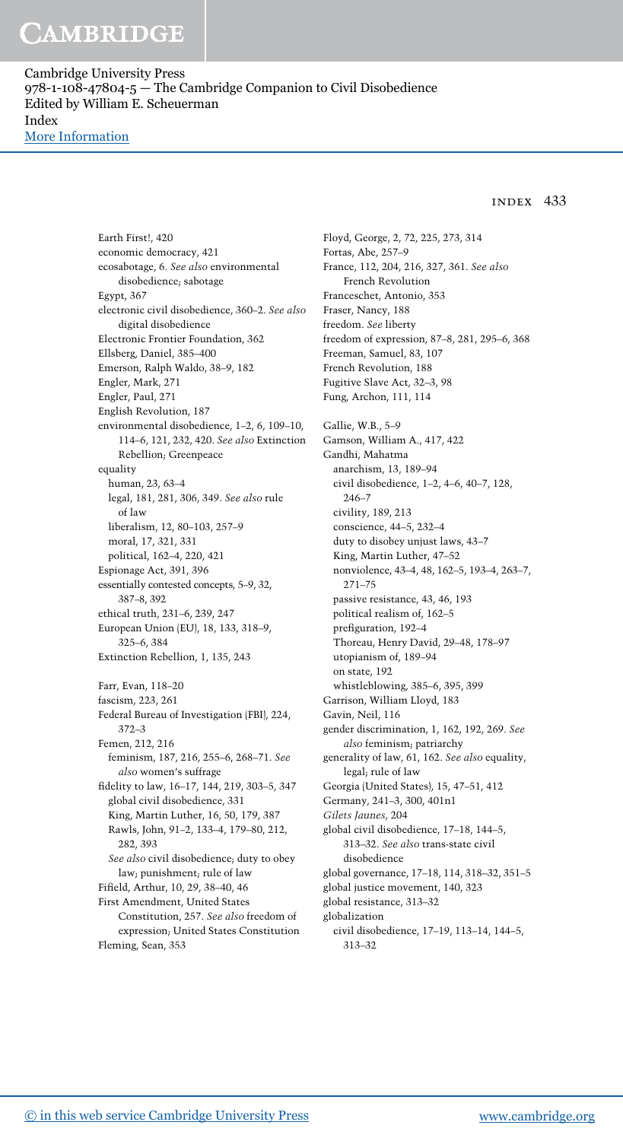Cambridge University Press 978-1-108-47804-5 — The Cambridge Companion to Civil Disobedience Edited by William E. Scheuerman Index [More Information](www.cambridge.org/9781108478045)

### index 433

Earth First!, 420 economic democracy, 421 ecosabotage, 6. See also environmental disobedience; sabotage Egypt, 367 electronic civil disobedience, 360–2. See also digital disobedience Electronic Frontier Foundation, 362 Ellsberg, Daniel, 385–400 Emerson, Ralph Waldo, 38–9, 182 Engler, Mark, 271 Engler, Paul, 271 English Revolution, 187 environmental disobedience, 1–2, 6, 109–10, 114–6, 121, 232, 420. See also Extinction Rebellion; Greenpeace equality human, 23, 63–4 legal, 181, 281, 306, 349. See also rule of law liberalism, 12, 80–103, 257–9 moral, 17, 321, 331 political, 162–4, 220, 421 Espionage Act, 391, 396 essentially contested concepts, 5–9, 32, 387–8, 392 ethical truth, 231–6, 239, 247 European Union (EU), 18, 133, 318–9, 325–6, 384 Extinction Rebellion, 1, 135, 243 Farr, Evan, 118–20 fascism, 223, 261 Federal Bureau of Investigation (FBI), 224, 372–3 Femen, 212, 216 feminism, 187, 216, 255–6, 268–71. See also women's suffrage fidelity to law, 16–17, 144, 219, 303–5, 347 global civil disobedience, 331 King, Martin Luther, 16, 50, 179, 387 Rawls, John, 91–2, 133–4, 179–80, 212, 282, 393 See also civil disobedience; duty to obey law; punishment; rule of law Fifield, Arthur, 10, 29, 38–40, 46 First Amendment, United States Constitution, 257. See also freedom of expression; United States Constitution Fleming, Sean, 353

Floyd, George, 2, 72, 225, 273, 314 Fortas, Abe, 257–9 France, 112, 204, 216, 327, 361. See also French Revolution Franceschet, Antonio, 353 Fraser, Nancy, 188 freedom. See liberty freedom of expression, 87–8, 281, 295–6, 368 Freeman, Samuel, 83, 107 French Revolution, 188 Fugitive Slave Act, 32–3, 98 Fung, Archon, 111, 114 Gallie, W.B., 5–9 Gamson, William A., 417, 422 Gandhi, Mahatma anarchism, 13, 189–94 civil disobedience, 1–2, 4–6, 40–7, 128, 246–7 civility, 189, 213 conscience, 44–5, 232–4 duty to disobey unjust laws, 43–7 King, Martin Luther, 47–52 nonviolence, 43–4, 48, 162–5, 193–4, 263–7, 271–75 passive resistance, 43, 46, 193 political realism of, 162–5 prefiguration, 192–4 Thoreau, Henry David, 29–48, 178–97 utopianism of, 189–94 on state, 192 whistleblowing, 385–6, 395, 399 Garrison, William Lloyd, 183 Gavin, Neil, 116 gender discrimination, 1, 162, 192, 269. See also feminism; patriarchy generality of law, 61, 162. See also equality, legal; rule of law Georgia (United States), 15, 47–51, 412 Germany, 241–3, 300, 401n1 Gilets Jaunes, 204 global civil disobedience, 17–18, 144–5, 313–32. See also trans-state civil disobedience global governance, 17–18, 114, 318–32, 351–5 global justice movement, 140, 323 global resistance, 313–32 globalization civil disobedience, 17–19, 113–14, 144–5, 313–32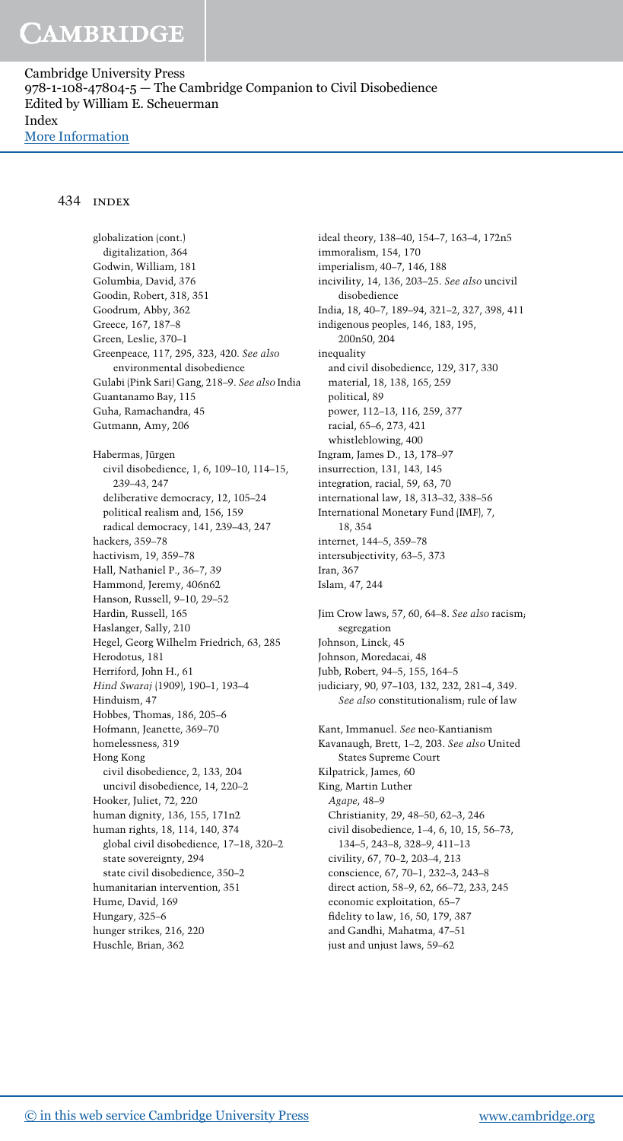Cambridge University Press 978-1-108-47804-5 — The Cambridge Companion to Civil Disobedience Edited by William E. Scheuerman Index [More Information](www.cambridge.org/9781108478045)

#### 434 index

globalization (cont.) digitalization, 364 Godwin, William, 181 Golumbia, David, 376 Goodin, Robert, 318, 351 Goodrum, Abby, 362 Greece, 167, 187–8 Green, Leslie, 370–1 Greenpeace, 117, 295, 323, 420. See also environmental disobedience Gulabi (Pink Sari) Gang, 218–9. See also India Guantanamo Bay, 115 Guha, Ramachandra, 45 Gutmann, Amy, 206 Habermas, Jürgen civil disobedience, 1, 6, 109–10, 114–15, 239–43, 247 deliberative democracy, 12, 105–24 political realism and, 156, 159 radical democracy, 141, 239–43, 247 hackers, 359–78 hactivism, 19, 359–78 Hall, Nathaniel P., 36–7, 39 Hammond, Jeremy, 406n62 Hanson, Russell, 9–10, 29–52 Hardin, Russell, 165 Haslanger, Sally, 210 Hegel, Georg Wilhelm Friedrich, 63, 285 Herodotus, 181 Herriford, John H., 61 Hind Swaraj (1909), 190–1, 193–4 Hinduism, 47 Hobbes, Thomas, 186, 205–6 Hofmann, Jeanette, 369–70 homelessness, 319 Hong Kong civil disobedience, 2, 133, 204 uncivil disobedience, 14, 220–2 Hooker, Juliet, 72, 220 human dignity, 136, 155, 171n2 human rights, 18, 114, 140, 374 global civil disobedience, 17–18, 320–2 state sovereignty, 294 state civil disobedience, 350–2 humanitarian intervention, 351 Hume, David, 169 Hungary, 325–6 hunger strikes, 216, 220 Huschle, Brian, 362

ideal theory, 138–40, 154–7, 163–4, 172n5 immoralism, 154, 170 imperialism, 40–7, 146, 188 incivility, 14, 136, 203–25. See also uncivil disobedience India, 18, 40–7, 189–94, 321–2, 327, 398, 411 indigenous peoples, 146, 183, 195, 200n50, 204 inequality and civil disobedience, 129, 317, 330 material, 18, 138, 165, 259 political, 89 power, 112–13, 116, 259, 377 racial, 65–6, 273, 421 whistleblowing, 400 Ingram, James D., 13, 178–97 insurrection, 131, 143, 145 integration, racial, 59, 63, 70 international law, 18, 313–32, 338–56 International Monetary Fund (IMF), 7, 18, 354 internet, 144–5, 359–78 intersubjectivity, 63–5, 373 Iran, 367 Islam, 47, 244 Jim Crow laws, 57, 60, 64–8. See also racism; segregation Johnson, Linck, 45 Johnson, Moredacai, 48 Jubb, Robert, 94–5, 155, 164–5 judiciary, 90, 97–103, 132, 232, 281–4, 349. See also constitutionalism; rule of law Kant, Immanuel. See neo-Kantianism Kavanaugh, Brett, 1–2, 203. See also United States Supreme Court Kilpatrick, James, 60 King, Martin Luther Agape, 48–9 Christianity, 29, 48–50, 62–3, 246 civil disobedience, 1–4, 6, 10, 15, 56–73, 134–5, 243–8, 328–9, 411–13 civility, 67, 70–2, 203–4, 213 conscience, 67, 70–1, 232–3, 243–8 direct action, 58–9, 62, 66–72, 233, 245 economic exploitation, 65–7 fidelity to law, 16, 50, 179, 387 and Gandhi, Mahatma, 47–51

just and unjust laws, 59–62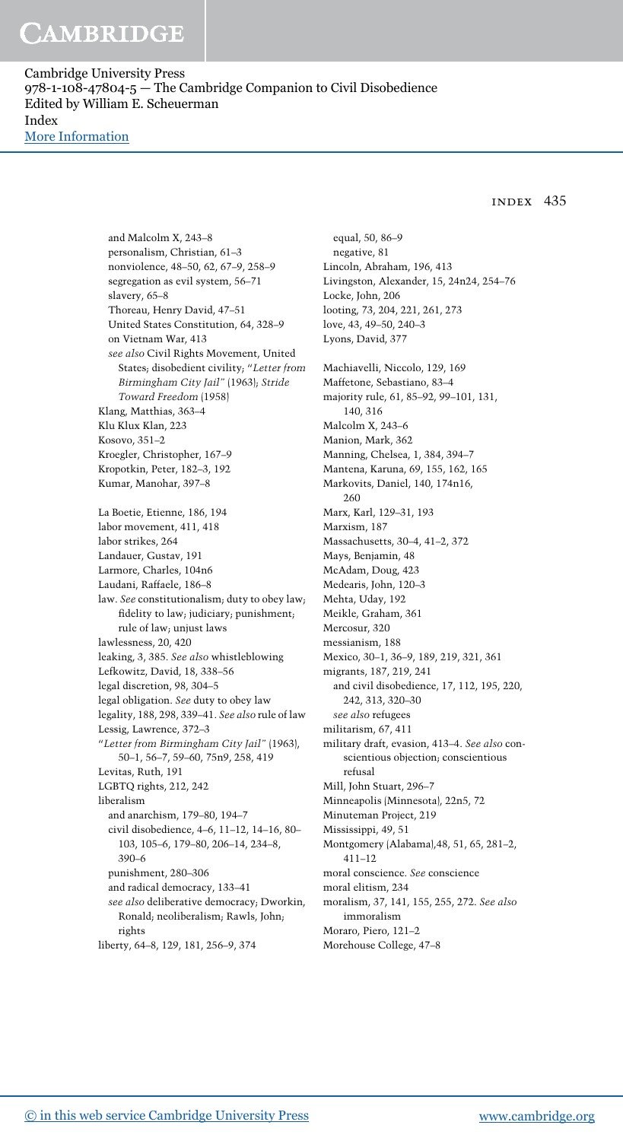Cambridge University Press 978-1-108-47804-5 — The Cambridge Companion to Civil Disobedience Edited by William E. Scheuerman Index [More Information](www.cambridge.org/9781108478045)

index 435

and Malcolm X, 243–8 personalism, Christian, 61–3 nonviolence, 48–50, 62, 67–9, 258–9 segregation as evil system, 56–71 slavery, 65–8 Thoreau, Henry David, 47–51 United States Constitution, 64, 328–9 on Vietnam War, 413 see also Civil Rights Movement, United States; disobedient civility; "Letter from Birmingham City Jail" (1963); Stride Toward Freedom (1958) Klang, Matthias, 363–4 Klu Klux Klan, 223 Kosovo, 351–2 Kroegler, Christopher, 167–9 Kropotkin, Peter, 182–3, 192 Kumar, Manohar, 397–8 La Boetie, Etienne, 186, 194 labor movement, 411, 418 labor strikes, 264 Landauer, Gustav, 191 Larmore, Charles, 104n6 Laudani, Raffaele, 186–8 law. See constitutionalism; duty to obey law; fidelity to law; judiciary; punishment; rule of law; unjust laws lawlessness, 20, 420 leaking, 3, 385. See also whistleblowing Lefkowitz, David, 18, 338–56 legal discretion, 98, 304–5 legal obligation. See duty to obey law legality, 188, 298, 339–41. See also rule of law Lessig, Lawrence, 372–3 "Letter from Birmingham City Jail" (1963), 50–1, 56–7, 59–60, 75n9, 258, 419 Levitas, Ruth, 191 LGBTQ rights, 212, 242 liberalism and anarchism, 179–80, 194–7 civil disobedience, 4–6, 11–12, 14–16, 80– 103, 105–6, 179–80, 206–14, 234–8, 390–6 punishment, 280–306 and radical democracy, 133–41 see also deliberative democracy; Dworkin, Ronald; neoliberalism; Rawls, John; rights

liberty, 64–8, 129, 181, 256–9, 374

equal, 50, 86–9 negative, 81 Lincoln, Abraham, 196, 413 Livingston, Alexander, 15, 24n24, 254–76 Locke, John, 206 looting, 73, 204, 221, 261, 273 love, 43, 49–50, 240–3 Lyons, David, 377 Machiavelli, Niccolo, 129, 169 Maffetone, Sebastiano, 83–4 majority rule, 61, 85–92, 99–101, 131, 140, 316 Malcolm X, 243–6 Manion, Mark, 362 Manning, Chelsea, 1, 384, 394–7 Mantena, Karuna, 69, 155, 162, 165 Markovits, Daniel, 140, 174n16, 260 Marx, Karl, 129–31, 193 Marxism, 187 Massachusetts, 30–4, 41–2, 372 Mays, Benjamin, 48 McAdam, Doug, 423 Medearis, John, 120–3 Mehta, Uday, 192 Meikle, Graham, 361 Mercosur, 320 messianism, 188 Mexico, 30–1, 36–9, 189, 219, 321, 361 migrants, 187, 219, 241 and civil disobedience, 17, 112, 195, 220, 242, 313, 320–30 see also refugees militarism, 67, 411 military draft, evasion, 413–4. See also conscientious objection; conscientious refusal Mill, John Stuart, 296–7 Minneapolis (Minnesota), 22n5, 72 Minuteman Project, 219 Mississippi, 49, 51 Montgomery (Alabama),48, 51, 65, 281–2, 411–12 moral conscience. See conscience moral elitism, 234 moralism, 37, 141, 155, 255, 272. See also immoralism Moraro, Piero, 121–2

Morehouse College, 47–8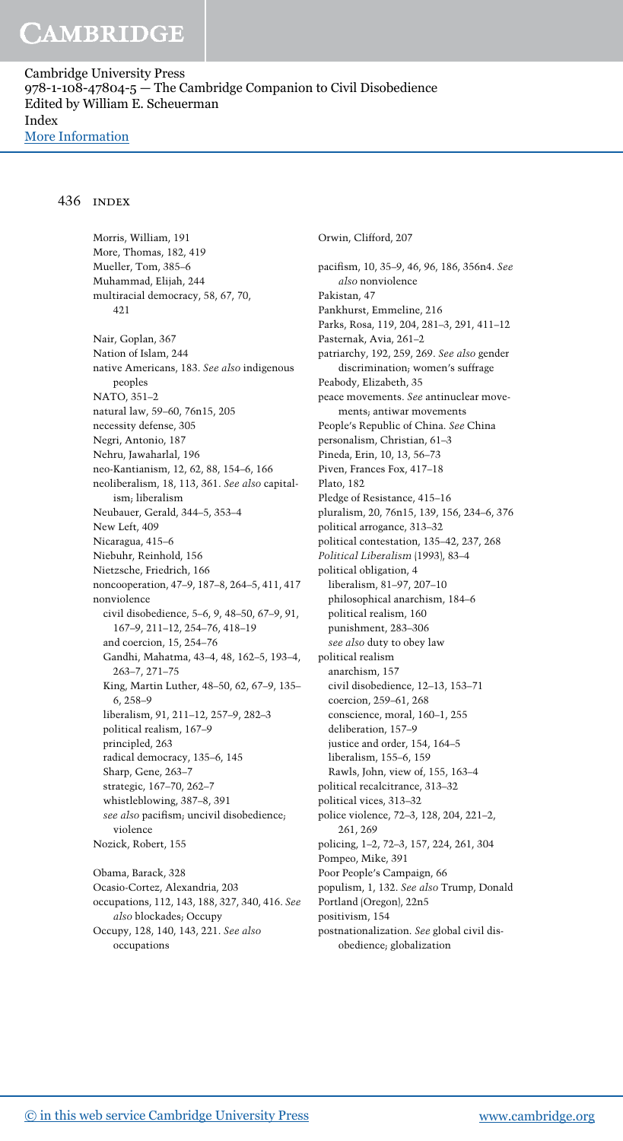Cambridge University Press 978-1-108-47804-5 — The Cambridge Companion to Civil Disobedience Edited by William E. Scheuerman Index [More Information](www.cambridge.org/9781108478045)

#### 436 index

Morris, William, 191 More, Thomas, 182, 419 Mueller, Tom, 385–6 Muhammad, Elijah, 244 multiracial democracy, 58, 67, 70, 421 Nair, Goplan, 367 Nation of Islam, 244 native Americans, 183. See also indigenous peoples NATO, 351–2 natural law, 59–60, 76n15, 205 necessity defense, 305 Negri, Antonio, 187 Nehru, Jawaharlal, 196 neo-Kantianism, 12, 62, 88, 154–6, 166 neoliberalism, 18, 113, 361. See also capitalism; liberalism Neubauer, Gerald, 344–5, 353–4 New Left, 409 Nicaragua, 415–6 Niebuhr, Reinhold, 156 Nietzsche, Friedrich, 166 noncooperation, 47–9, 187–8, 264–5, 411, 417 nonviolence civil disobedience, 5–6, 9, 48–50, 67–9, 91, 167–9, 211–12, 254–76, 418–19 and coercion, 15, 254–76 Gandhi, Mahatma, 43–4, 48, 162–5, 193–4, 263–7, 271–75 King, Martin Luther, 48–50, 62, 67–9, 135– 6, 258–9 liberalism, 91, 211–12, 257–9, 282–3 political realism, 167–9 principled, 263 radical democracy, 135–6, 145 Sharp, Gene, 263–7 strategic, 167–70, 262–7 whistleblowing, 387–8, 391 see also pacifism; uncivil disobedience; violence Nozick, Robert, 155 Obama, Barack, 328

Ocasio-Cortez, Alexandria, 203 occupations, 112, 143, 188, 327, 340, 416. See also blockades; Occupy Occupy, 128, 140, 143, 221. See also occupations

Orwin, Clifford, 207 pacifism, 10, 35–9, 46, 96, 186, 356n4. See also nonviolence Pakistan, 47 Pankhurst, Emmeline, 216 Parks, Rosa, 119, 204, 281–3, 291, 411–12 Pasternak, Avia, 261–2 patriarchy, 192, 259, 269. See also gender discrimination; women's suffrage Peabody, Elizabeth, 35 peace movements. See antinuclear movements; antiwar movements People's Republic of China. See China personalism, Christian, 61–3 Pineda, Erin, 10, 13, 56–73 Piven, Frances Fox, 417–18 Plato, 182 Pledge of Resistance, 415–16 pluralism, 20, 76n15, 139, 156, 234–6, 376 political arrogance, 313–32 political contestation, 135–42, 237, 268 Political Liberalism (1993), 83–4 political obligation, 4 liberalism, 81–97, 207–10 philosophical anarchism, 184–6 political realism, 160 punishment, 283–306 see also duty to obey law political realism anarchism, 157 civil disobedience, 12–13, 153–71 coercion, 259–61, 268 conscience, moral, 160–1, 255 deliberation, 157–9 justice and order, 154, 164–5 liberalism, 155–6, 159 Rawls, John, view of, 155, 163–4 political recalcitrance, 313–32 political vices, 313–32 police violence, 72–3, 128, 204, 221–2, 261, 269 policing, 1–2, 72–3, 157, 224, 261, 304 Pompeo, Mike, 391 Poor People's Campaign, 66 populism, 1, 132. See also Trump, Donald Portland (Oregon), 22n5 positivism, 154 postnationalization. See global civil disobedience; globalization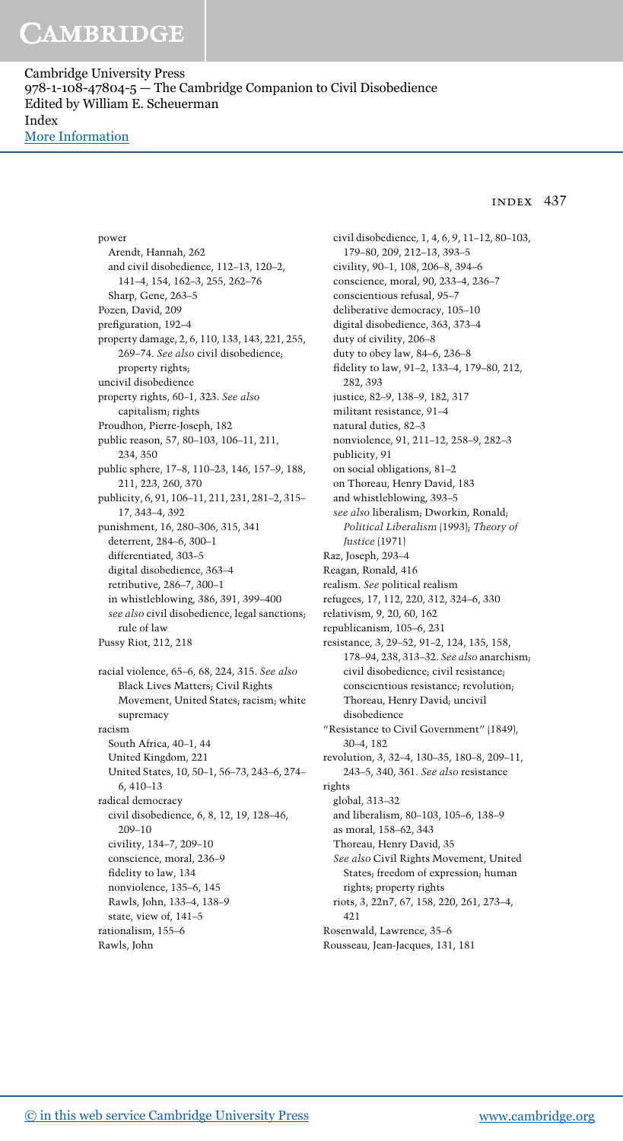Cambridge University Press 978-1-108-47804-5 — The Cambridge Companion to Civil Disobedience Edited by William E. Scheuerman Index [More Information](www.cambridge.org/9781108478045)

### index 437

power Arendt, Hannah, 262 and civil disobedience, 112–13, 120–2, 141–4, 154, 162–3, 255, 262–76 Sharp, Gene, 263–5 Pozen, David, 209 prefiguration, 192–4 property damage, 2, 6, 110, 133, 143, 221, 255, 269–74. See also civil disobedience; property rights; uncivil disobedience property rights, 60–1, 323. See also capitalism; rights Proudhon, Pierre-Joseph, 182 public reason, 57, 80–103, 106–11, 211, 234, 350 public sphere, 17–8, 110–23, 146, 157–9, 188, 211, 223, 260, 370 publicity, 6, 91, 106–11, 211, 231, 281–2, 315– 17, 343–4, 392 punishment, 16, 280–306, 315, 341 deterrent, 284–6, 300–1 differentiated, 303–5 digital disobedience, 363–4 retributive, 286–7, 300–1 in whistleblowing, 386, 391, 399–400 see also civil disobedience, legal sanctions; rule of law Pussy Riot, 212, 218 racial violence, 65–6, 68, 224, 315. See also Black Lives Matters; Civil Rights Movement, United States; racism; white supremacy racism South Africa, 40–1, 44 United Kingdom, 221 United States, 10, 50–1, 56–73, 243–6, 274– 6, 410–13 radical democracy civil disobedience, 6, 8, 12, 19, 128–46, 209–10 civility, 134–7, 209–10 conscience, moral, 236–9 fidelity to law, 134 nonviolence, 135–6, 145 Rawls, John, 133–4, 138–9 state, view of, 141–5 rationalism, 155–6 Rawls, John

civil disobedience, 1, 4, 6, 9, 11–12, 80–103, 179–80, 209, 212–13, 393–5 civility, 90–1, 108, 206–8, 394–6 conscience, moral, 90, 233–4, 236–7 conscientious refusal, 95–7 deliberative democracy, 105–10 digital disobedience, 363, 373–4 duty of civility, 206–8 duty to obey law, 84–6, 236–8 fidelity to law, 91–2, 133–4, 179–80, 212, 282, 393 justice, 82–9, 138–9, 182, 317 militant resistance, 91–4 natural duties, 82–3 nonviolence, 91, 211–12, 258–9, 282–3 publicity, 91 on social obligations, 81–2 on Thoreau, Henry David, 183 and whistleblowing, 393–5 see also liberalism; Dworkin, Ronald; Political Liberalism (1993); Theory of Justice (1971) Raz, Joseph, 293–4 Reagan, Ronald, 416 realism. See political realism refugees, 17, 112, 220, 312, 324–6, 330 relativism, 9, 20, 60, 162 republicanism, 105–6, 231 resistance, 3, 29–52, 91–2, 124, 135, 158, 178–94, 238, 313–32. See also anarchism; civil disobedience; civil resistance; conscientious resistance; revolution; Thoreau, Henry David; uncivil disobedience "Resistance to Civil Government" (1849), 30–4, 182 revolution, 3, 32–4, 130–35, 180–8, 209–11, 243–5, 340, 361. See also resistance rights global, 313–32 and liberalism, 80–103, 105–6, 138–9 as moral, 158–62, 343 Thoreau, Henry David, 35 See also Civil Rights Movement, United States; freedom of expression; human rights; property rights riots, 3, 22n7, 67, 158, 220, 261, 273–4, 421 Rosenwald, Lawrence, 35–6 Rousseau, Jean-Jacques, 131, 181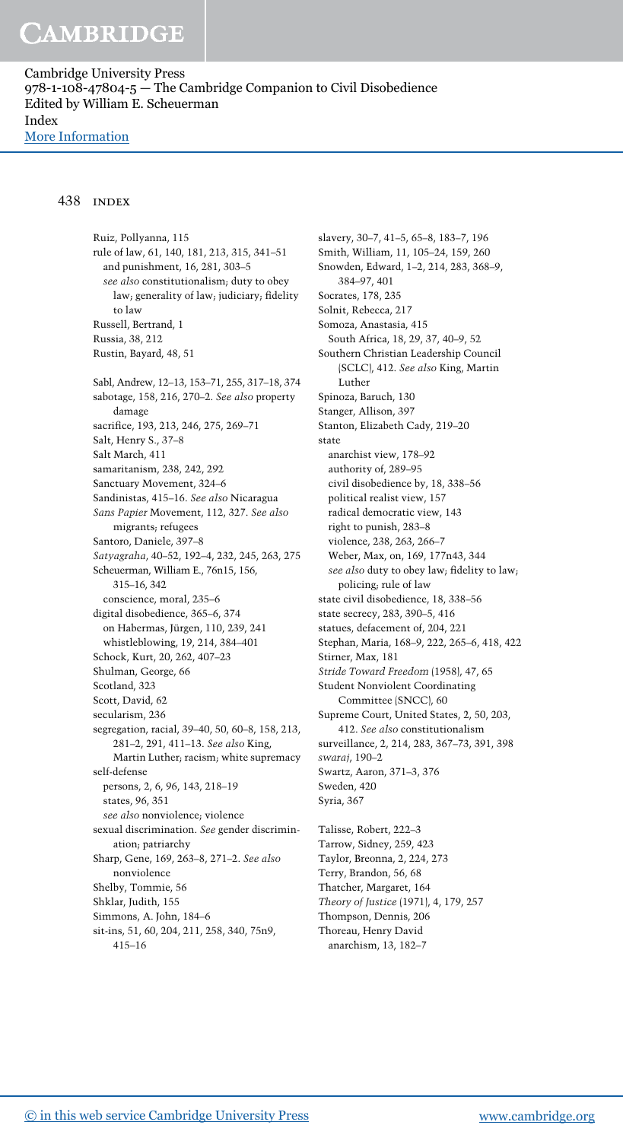Cambridge University Press 978-1-108-47804-5 — The Cambridge Companion to Civil Disobedience Edited by William E. Scheuerman Index [More Information](www.cambridge.org/9781108478045)

#### 438 index

Ruiz, Pollyanna, 115 rule of law, 61, 140, 181, 213, 315, 341–51 and punishment, 16, 281, 303–5 see also constitutionalism; duty to obey law; generality of law; judiciary; fidelity to law Russell, Bertrand, 1 Russia, 38, 212 Rustin, Bayard, 48, 51 Sabl, Andrew, 12–13, 153–71, 255, 317–18, 374 sabotage, 158, 216, 270–2. See also property damage sacrifice, 193, 213, 246, 275, 269–71 Salt, Henry S., 37–8 Salt March, 411 samaritanism, 238, 242, 292 Sanctuary Movement, 324–6 Sandinistas, 415–16. See also Nicaragua Sans Papier Movement, 112, 327. See also migrants; refugees Santoro, Daniele, 397–8 Satyagraha, 40–52, 192–4, 232, 245, 263, 275 Scheuerman, William E., 76n15, 156, 315–16, 342 conscience, moral, 235–6 digital disobedience, 365–6, 374 on Habermas, Jürgen, 110, 239, 241 whistleblowing, 19, 214, 384–401 Schock, Kurt, 20, 262, 407–23 Shulman, George, 66 Scotland, 323 Scott, David, 62 secularism, 236 segregation, racial, 39–40, 50, 60–8, 158, 213, 281–2, 291, 411–13. See also King, Martin Luther; racism; white supremacy self-defense persons, 2, 6, 96, 143, 218–19 states, 96, 351 see also nonviolence; violence sexual discrimination. See gender discrimination; patriarchy Sharp, Gene, 169, 263–8, 271–2. See also nonviolence Shelby, Tommie, 56 Shklar, Judith, 155 Simmons, A. John, 184–6 sit-ins, 51, 60, 204, 211, 258, 340, 75n9, 415–16

slavery, 30–7, 41–5, 65–8, 183–7, 196 Smith, William, 11, 105–24, 159, 260 Snowden, Edward, 1–2, 214, 283, 368–9, 384–97, 401 Socrates, 178, 235 Solnit, Rebecca, 217 Somoza, Anastasia, 415 South Africa, 18, 29, 37, 40–9, 52 Southern Christian Leadership Council (SCLC), 412. See also King, Martin Luther Spinoza, Baruch, 130 Stanger, Allison, 397 Stanton, Elizabeth Cady, 219–20 state anarchist view, 178–92 authority of, 289–95 civil disobedience by, 18, 338–56 political realist view, 157 radical democratic view, 143 right to punish, 283–8 violence, 238, 263, 266–7 Weber, Max, on, 169, 177n43, 344 see also duty to obey law; fidelity to law; policing; rule of law state civil disobedience, 18, 338–56 state secrecy, 283, 390–5, 416 statues, defacement of, 204, 221 Stephan, Maria, 168–9, 222, 265–6, 418, 422 Stirner, Max, 181 Stride Toward Freedom (1958), 47, 65 Student Nonviolent Coordinating Committee (SNCC), 60 Supreme Court, United States, 2, 50, 203, 412. See also constitutionalism surveillance, 2, 214, 283, 367–73, 391, 398 swaraj, 190–2 Swartz, Aaron, 371–3, 376 Sweden, 420 Syria, 367 Talisse, Robert, 222–3 Tarrow, Sidney, 259, 423 Taylor, Breonna, 2, 224, 273 Terry, Brandon, 56, 68 Thatcher, Margaret, 164 Theory of Justice (1971), 4, 179, 257 Thompson, Dennis, 206

Thoreau, Henry David anarchism, 13, 182–7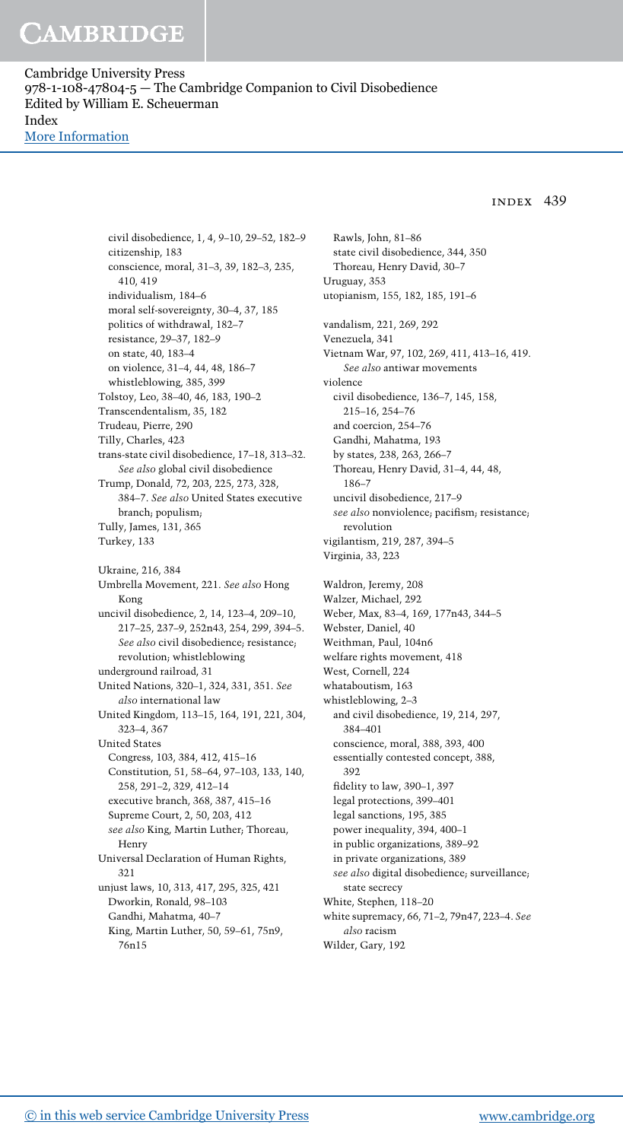Cambridge University Press 978-1-108-47804-5 — The Cambridge Companion to Civil Disobedience Edited by William E. Scheuerman Index [More Information](www.cambridge.org/9781108478045)

#### index 439

civil disobedience, 1, 4, 9–10, 29–52, 182–9 citizenship, 183 conscience, moral, 31–3, 39, 182–3, 235, 410, 419 individualism, 184–6 moral self-sovereignty, 30–4, 37, 185 politics of withdrawal, 182–7 resistance, 29–37, 182–9 on state, 40, 183–4 on violence, 31–4, 44, 48, 186–7 whistleblowing, 385, 399 Tolstoy, Leo, 38–40, 46, 183, 190–2 Transcendentalism, 35, 182 Trudeau, Pierre, 290 Tilly, Charles, 423 trans-state civil disobedience, 17–18, 313–32. See also global civil disobedience Trump, Donald, 72, 203, 225, 273, 328, 384–7. See also United States executive branch; populism; Tully, James, 131, 365 Turkey, 133 Ukraine, 216, 384 Umbrella Movement, 221. See also Hong Kong uncivil disobedience, 2, 14, 123–4, 209–10, 217–25, 237–9, 252n43, 254, 299, 394–5. See also civil disobedience; resistance; revolution; whistleblowing underground railroad, 31 United Nations, 320–1, 324, 331, 351. See also international law United Kingdom, 113–15, 164, 191, 221, 304, 323–4, 367 United States Congress, 103, 384, 412, 415–16 Constitution, 51, 58–64, 97–103, 133, 140, 258, 291–2, 329, 412–14 executive branch, 368, 387, 415–16 Supreme Court, 2, 50, 203, 412 see also King, Martin Luther; Thoreau, Henry Universal Declaration of Human Rights, 321 unjust laws, 10, 313, 417, 295, 325, 421 Dworkin, Ronald, 98–103 Gandhi, Mahatma, 40–7 King, Martin Luther, 50, 59–61, 75n9, 76n15

Rawls, John, 81–86 state civil disobedience, 344, 350 Thoreau, Henry David, 30–7 Uruguay, 353 utopianism, 155, 182, 185, 191–6 vandalism, 221, 269, 292 Venezuela, 341 Vietnam War, 97, 102, 269, 411, 413–16, 419. See also antiwar movements violence civil disobedience, 136–7, 145, 158, 215–16, 254–76 and coercion, 254–76 Gandhi, Mahatma, 193 by states, 238, 263, 266–7 Thoreau, Henry David, 31–4, 44, 48, 186–7 uncivil disobedience, 217–9 see also nonviolence; pacifism; resistance; revolution vigilantism, 219, 287, 394–5 Virginia, 33, 223 Waldron, Jeremy, 208 Walzer, Michael, 292 Weber, Max, 83–4, 169, 177n43, 344–5 Webster, Daniel, 40 Weithman, Paul, 104n6 welfare rights movement, 418 West, Cornell, 224 whataboutism, 163 whistleblowing, 2–3 and civil disobedience, 19, 214, 297, 384–401 conscience, moral, 388, 393, 400 essentially contested concept, 388, 392 fidelity to law, 390–1, 397 legal protections, 399–401 legal sanctions, 195, 385 power inequality, 394, 400–1 in public organizations, 389–92 in private organizations, 389 see also digital disobedience; surveillance; state secrecy White, Stephen, 118–20 white supremacy, 66, 71–2, 79n47, 223–4. See also racism Wilder, Gary, 192